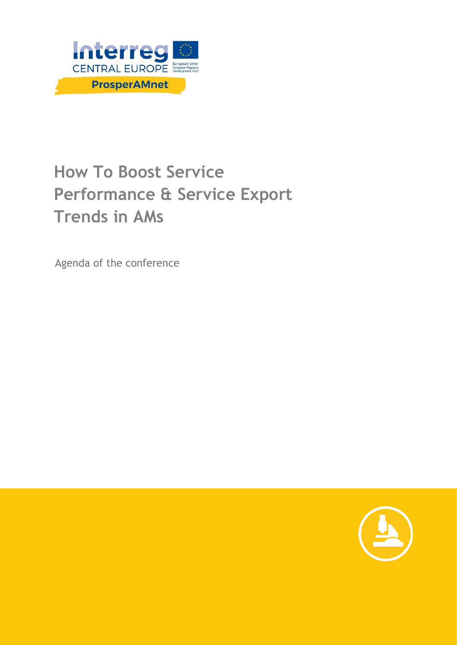

# **How To Boost Service Performance & Service Export Trends in AMs**

Agenda of the conference